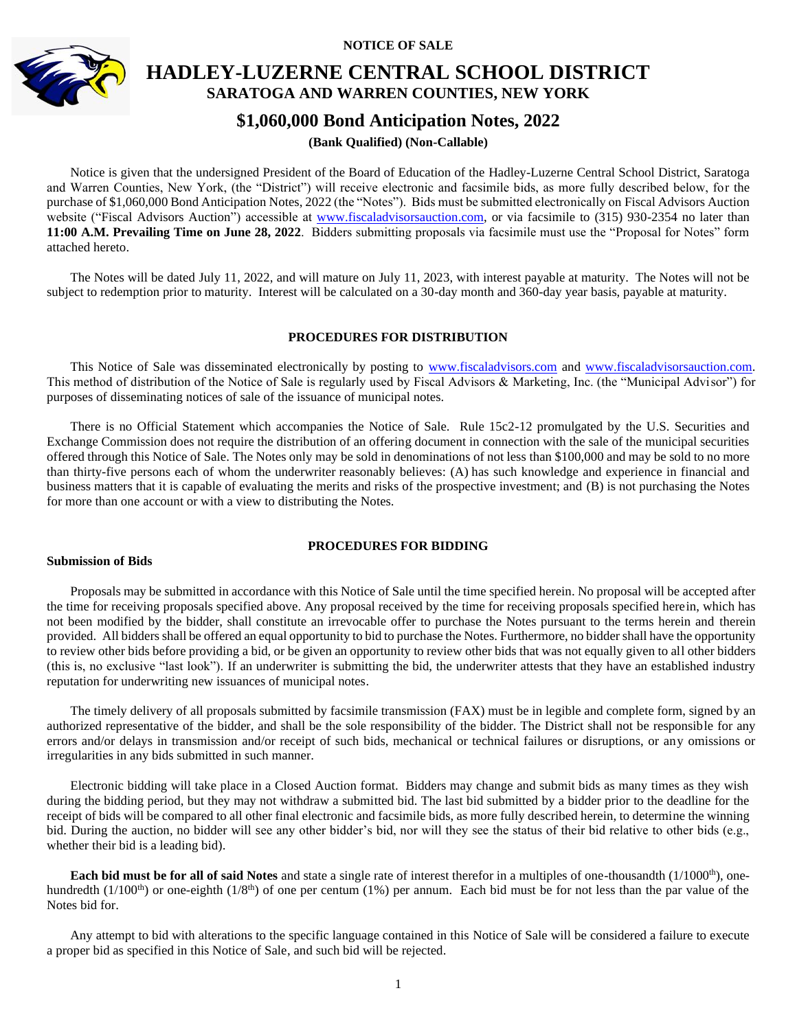**NOTICE OF SALE**



# **HADLEY-LUZERNE CENTRAL SCHOOL DISTRICT SARATOGA AND WARREN COUNTIES, NEW YORK**

# **\$1,060,000 Bond Anticipation Notes, 2022**

# **(Bank Qualified) (Non-Callable)**

Notice is given that the undersigned President of the Board of Education of the Hadley-Luzerne Central School District, Saratoga and Warren Counties, New York, (the "District") will receive electronic and facsimile bids, as more fully described below, for the purchase of \$1,060,000 Bond Anticipation Notes, 2022 (the "Notes"). Bids must be submitted electronically on Fiscal Advisors Auction website ("Fiscal Advisors Auction") accessible at [www.fiscaladvisorsauction.com,](http://www.fiscaladvisorsauction.com/) or via facsimile to (315) 930-2354 no later than **11:00 A.M. Prevailing Time on June 28, 2022**. Bidders submitting proposals via facsimile must use the "Proposal for Notes" form attached hereto.

The Notes will be dated July 11, 2022, and will mature on July 11, 2023, with interest payable at maturity. The Notes will not be subject to redemption prior to maturity. Interest will be calculated on a 30-day month and 360-day year basis, payable at maturity.

# **PROCEDURES FOR DISTRIBUTION**

This Notice of Sale was disseminated electronically by posting to [www.fiscaladvisors.com](http://www.fiscaladvisors.com/) and [www.fiscaladvisorsauction.com.](http://www.fiscaladvisorsauction.com/) This method of distribution of the Notice of Sale is regularly used by Fiscal Advisors & Marketing, Inc. (the "Municipal Advisor") for purposes of disseminating notices of sale of the issuance of municipal notes.

There is no Official Statement which accompanies the Notice of Sale. Rule 15c2-12 promulgated by the U.S. Securities and Exchange Commission does not require the distribution of an offering document in connection with the sale of the municipal securities offered through this Notice of Sale. The Notes only may be sold in denominations of not less than \$100,000 and may be sold to no more than thirty-five persons each of whom the underwriter reasonably believes: (A) has such knowledge and experience in financial and business matters that it is capable of evaluating the merits and risks of the prospective investment; and (B) is not purchasing the Notes for more than one account or with a view to distributing the Notes.

# **PROCEDURES FOR BIDDING**

#### **Submission of Bids**

Proposals may be submitted in accordance with this Notice of Sale until the time specified herein. No proposal will be accepted after the time for receiving proposals specified above. Any proposal received by the time for receiving proposals specified herein, which has not been modified by the bidder, shall constitute an irrevocable offer to purchase the Notes pursuant to the terms herein and therein provided. All bidders shall be offered an equal opportunity to bid to purchase the Notes. Furthermore, no bidder shall have the opportunity to review other bids before providing a bid, or be given an opportunity to review other bids that was not equally given to all other bidders (this is, no exclusive "last look"). If an underwriter is submitting the bid, the underwriter attests that they have an established industry reputation for underwriting new issuances of municipal notes.

The timely delivery of all proposals submitted by facsimile transmission (FAX) must be in legible and complete form, signed by an authorized representative of the bidder, and shall be the sole responsibility of the bidder. The District shall not be responsible for any errors and/or delays in transmission and/or receipt of such bids, mechanical or technical failures or disruptions, or any omissions or irregularities in any bids submitted in such manner.

Electronic bidding will take place in a Closed Auction format. Bidders may change and submit bids as many times as they wish during the bidding period, but they may not withdraw a submitted bid. The last bid submitted by a bidder prior to the deadline for the receipt of bids will be compared to all other final electronic and facsimile bids, as more fully described herein, to determine the winning bid. During the auction, no bidder will see any other bidder's bid, nor will they see the status of their bid relative to other bids (e.g., whether their bid is a leading bid).

**Each bid must be for all of said Notes** and state a single rate of interest therefor in a multiples of one-thousandth (1/1000<sup>th</sup>), onehundredth (1/100<sup>th</sup>) or one-eighth (1/8<sup>th</sup>) of one per centum (1%) per annum. Each bid must be for not less than the par value of the Notes bid for.

Any attempt to bid with alterations to the specific language contained in this Notice of Sale will be considered a failure to execute a proper bid as specified in this Notice of Sale, and such bid will be rejected.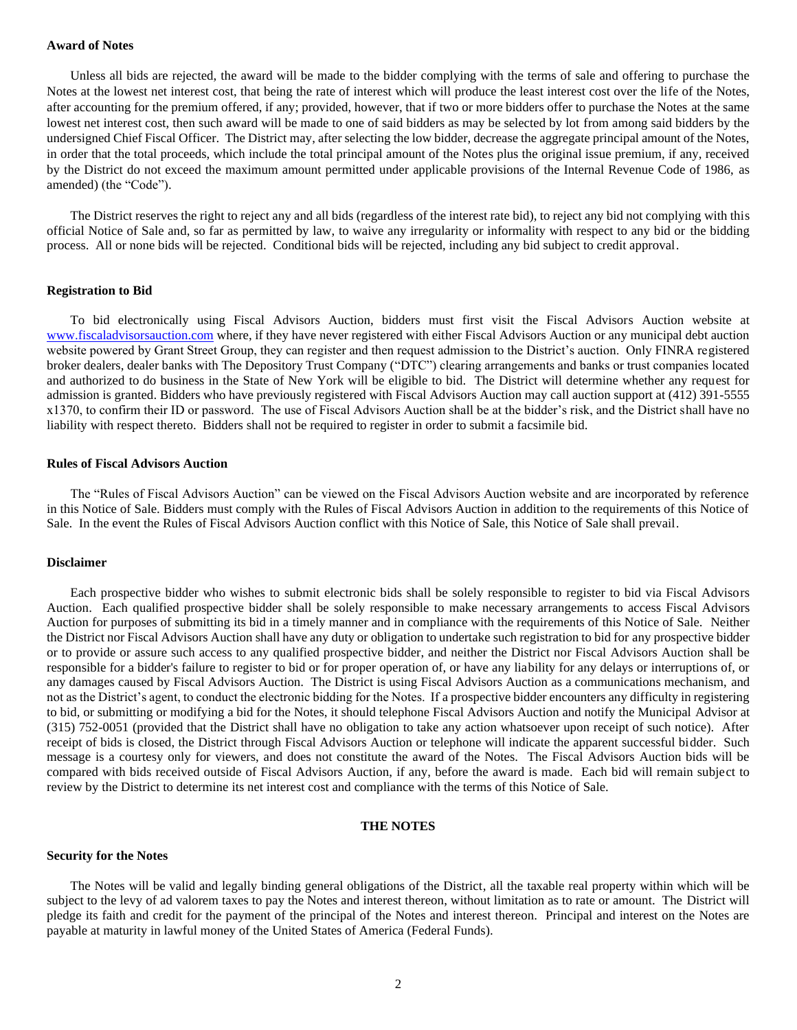#### **Award of Notes**

Unless all bids are rejected, the award will be made to the bidder complying with the terms of sale and offering to purchase the Notes at the lowest net interest cost, that being the rate of interest which will produce the least interest cost over the life of the Notes, after accounting for the premium offered, if any; provided, however, that if two or more bidders offer to purchase the Notes at the same lowest net interest cost, then such award will be made to one of said bidders as may be selected by lot from among said bidders by the undersigned Chief Fiscal Officer. The District may, after selecting the low bidder, decrease the aggregate principal amount of the Notes, in order that the total proceeds, which include the total principal amount of the Notes plus the original issue premium, if any, received by the District do not exceed the maximum amount permitted under applicable provisions of the Internal Revenue Code of 1986, as amended) (the "Code").

The District reserves the right to reject any and all bids (regardless of the interest rate bid), to reject any bid not complying with this official Notice of Sale and, so far as permitted by law, to waive any irregularity or informality with respect to any bid or the bidding process. All or none bids will be rejected. Conditional bids will be rejected, including any bid subject to credit approval.

#### **Registration to Bid**

To bid electronically using Fiscal Advisors Auction, bidders must first visit the Fiscal Advisors Auction website at [www.fiscaladvisorsauction.com](http://www.fiscaladvisorsauction.com/) where, if they have never registered with either Fiscal Advisors Auction or any municipal debt auction website powered by Grant Street Group, they can register and then request admission to the District's auction. Only FINRA registered broker dealers, dealer banks with The Depository Trust Company ("DTC") clearing arrangements and banks or trust companies located and authorized to do business in the State of New York will be eligible to bid. The District will determine whether any request for admission is granted. Bidders who have previously registered with Fiscal Advisors Auction may call auction support at (412) 391-5555 x1370, to confirm their ID or password. The use of Fiscal Advisors Auction shall be at the bidder's risk, and the District shall have no liability with respect thereto. Bidders shall not be required to register in order to submit a facsimile bid.

## **Rules of Fiscal Advisors Auction**

The "Rules of Fiscal Advisors Auction" can be viewed on the Fiscal Advisors Auction website and are incorporated by reference in this Notice of Sale. Bidders must comply with the Rules of Fiscal Advisors Auction in addition to the requirements of this Notice of Sale. In the event the Rules of Fiscal Advisors Auction conflict with this Notice of Sale, this Notice of Sale shall prevail.

#### **Disclaimer**

Each prospective bidder who wishes to submit electronic bids shall be solely responsible to register to bid via Fiscal Advisors Auction. Each qualified prospective bidder shall be solely responsible to make necessary arrangements to access Fiscal Advisors Auction for purposes of submitting its bid in a timely manner and in compliance with the requirements of this Notice of Sale. Neither the District nor Fiscal Advisors Auction shall have any duty or obligation to undertake such registration to bid for any prospective bidder or to provide or assure such access to any qualified prospective bidder, and neither the District nor Fiscal Advisors Auction shall be responsible for a bidder's failure to register to bid or for proper operation of, or have any liability for any delays or interruptions of, or any damages caused by Fiscal Advisors Auction. The District is using Fiscal Advisors Auction as a communications mechanism, and not as the District's agent, to conduct the electronic bidding for the Notes. If a prospective bidder encounters any difficulty in registering to bid, or submitting or modifying a bid for the Notes, it should telephone Fiscal Advisors Auction and notify the Municipal Advisor at (315) 752-0051 (provided that the District shall have no obligation to take any action whatsoever upon receipt of such notice). After receipt of bids is closed, the District through Fiscal Advisors Auction or telephone will indicate the apparent successful bidder. Such message is a courtesy only for viewers, and does not constitute the award of the Notes. The Fiscal Advisors Auction bids will be compared with bids received outside of Fiscal Advisors Auction, if any, before the award is made. Each bid will remain subject to review by the District to determine its net interest cost and compliance with the terms of this Notice of Sale.

# **THE NOTES**

#### **Security for the Notes**

The Notes will be valid and legally binding general obligations of the District, all the taxable real property within which will be subject to the levy of ad valorem taxes to pay the Notes and interest thereon, without limitation as to rate or amount. The District will pledge its faith and credit for the payment of the principal of the Notes and interest thereon. Principal and interest on the Notes are payable at maturity in lawful money of the United States of America (Federal Funds).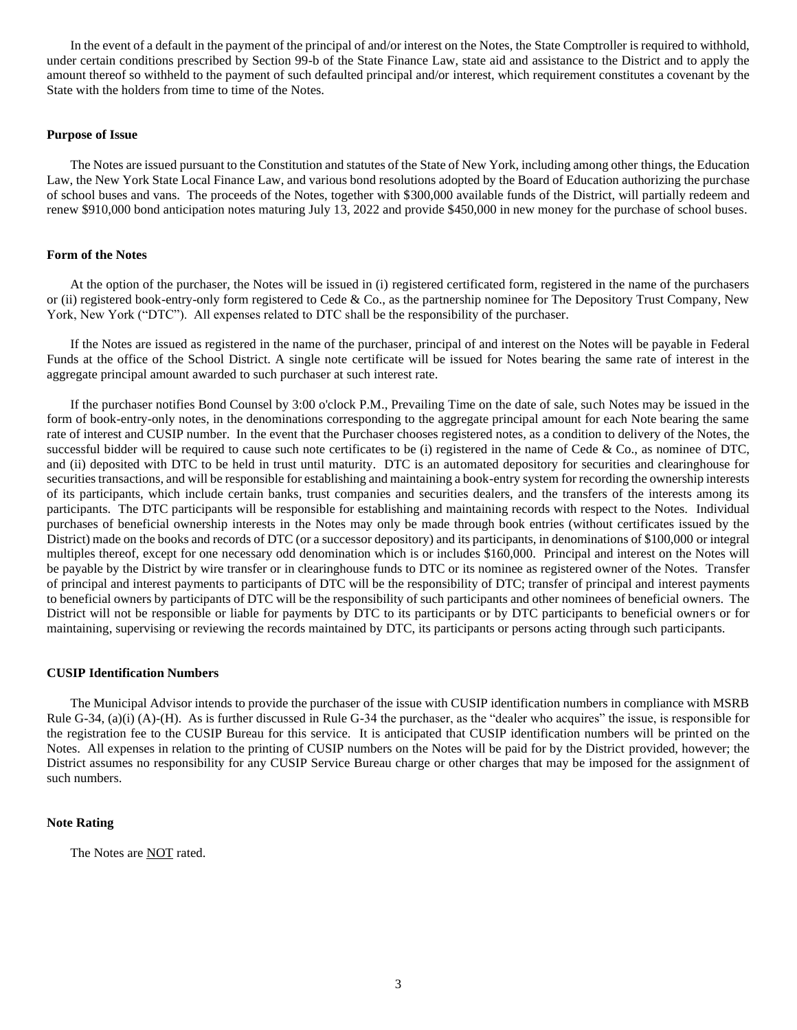In the event of a default in the payment of the principal of and/or interest on the Notes, the State Comptroller is required to withhold, under certain conditions prescribed by Section 99-b of the State Finance Law, state aid and assistance to the District and to apply the amount thereof so withheld to the payment of such defaulted principal and/or interest, which requirement constitutes a covenant by the State with the holders from time to time of the Notes.

# **Purpose of Issue**

The Notes are issued pursuant to the Constitution and statutes of the State of New York, including among other things, the Education Law, the New York State Local Finance Law, and various bond resolutions adopted by the Board of Education authorizing the purchase of school buses and vans. The proceeds of the Notes, together with \$300,000 available funds of the District, will partially redeem and renew \$910,000 bond anticipation notes maturing July 13, 2022 and provide \$450,000 in new money for the purchase of school buses.

## **Form of the Notes**

At the option of the purchaser, the Notes will be issued in (i) registered certificated form, registered in the name of the purchasers or (ii) registered book-entry-only form registered to Cede & Co., as the partnership nominee for The Depository Trust Company, New York, New York ("DTC"). All expenses related to DTC shall be the responsibility of the purchaser.

If the Notes are issued as registered in the name of the purchaser, principal of and interest on the Notes will be payable in Federal Funds at the office of the School District. A single note certificate will be issued for Notes bearing the same rate of interest in the aggregate principal amount awarded to such purchaser at such interest rate.

If the purchaser notifies Bond Counsel by 3:00 o'clock P.M., Prevailing Time on the date of sale, such Notes may be issued in the form of book-entry-only notes, in the denominations corresponding to the aggregate principal amount for each Note bearing the same rate of interest and CUSIP number. In the event that the Purchaser chooses registered notes, as a condition to delivery of the Notes, the successful bidder will be required to cause such note certificates to be (i) registered in the name of Cede & Co., as nominee of DTC, and (ii) deposited with DTC to be held in trust until maturity. DTC is an automated depository for securities and clearinghouse for securities transactions, and will be responsible for establishing and maintaining a book-entry system for recording the ownership interests of its participants, which include certain banks, trust companies and securities dealers, and the transfers of the interests among its participants. The DTC participants will be responsible for establishing and maintaining records with respect to the Notes. Individual purchases of beneficial ownership interests in the Notes may only be made through book entries (without certificates issued by the District) made on the books and records of DTC (or a successor depository) and its participants, in denominations of \$100,000 or integral multiples thereof, except for one necessary odd denomination which is or includes \$160,000. Principal and interest on the Notes will be payable by the District by wire transfer or in clearinghouse funds to DTC or its nominee as registered owner of the Notes. Transfer of principal and interest payments to participants of DTC will be the responsibility of DTC; transfer of principal and interest payments to beneficial owners by participants of DTC will be the responsibility of such participants and other nominees of beneficial owners. The District will not be responsible or liable for payments by DTC to its participants or by DTC participants to beneficial owners or for maintaining, supervising or reviewing the records maintained by DTC, its participants or persons acting through such participants.

#### **CUSIP Identification Numbers**

The Municipal Advisor intends to provide the purchaser of the issue with CUSIP identification numbers in compliance with MSRB Rule G-34, (a)(i) (A)-(H). As is further discussed in Rule G-34 the purchaser, as the "dealer who acquires" the issue, is responsible for the registration fee to the CUSIP Bureau for this service. It is anticipated that CUSIP identification numbers will be printed on the Notes. All expenses in relation to the printing of CUSIP numbers on the Notes will be paid for by the District provided, however; the District assumes no responsibility for any CUSIP Service Bureau charge or other charges that may be imposed for the assignment of such numbers.

#### **Note Rating**

The Notes are NOT rated.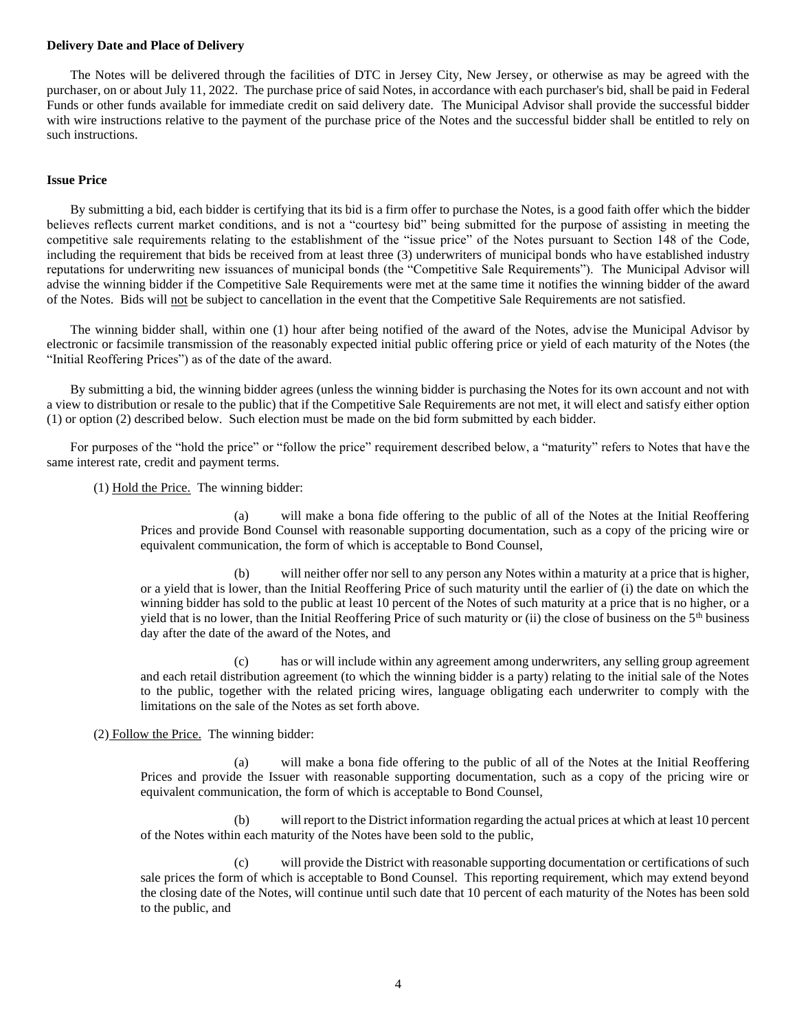#### **Delivery Date and Place of Delivery**

The Notes will be delivered through the facilities of DTC in Jersey City, New Jersey, or otherwise as may be agreed with the purchaser, on or about July 11, 2022. The purchase price of said Notes, in accordance with each purchaser's bid, shall be paid in Federal Funds or other funds available for immediate credit on said delivery date. The Municipal Advisor shall provide the successful bidder with wire instructions relative to the payment of the purchase price of the Notes and the successful bidder shall be entitled to rely on such instructions.

# **Issue Price**

By submitting a bid, each bidder is certifying that its bid is a firm offer to purchase the Notes, is a good faith offer which the bidder believes reflects current market conditions, and is not a "courtesy bid" being submitted for the purpose of assisting in meeting the competitive sale requirements relating to the establishment of the "issue price" of the Notes pursuant to Section 148 of the Code, including the requirement that bids be received from at least three (3) underwriters of municipal bonds who have established industry reputations for underwriting new issuances of municipal bonds (the "Competitive Sale Requirements"). The Municipal Advisor will advise the winning bidder if the Competitive Sale Requirements were met at the same time it notifies the winning bidder of the award of the Notes. Bids will not be subject to cancellation in the event that the Competitive Sale Requirements are not satisfied.

The winning bidder shall, within one (1) hour after being notified of the award of the Notes, advise the Municipal Advisor by electronic or facsimile transmission of the reasonably expected initial public offering price or yield of each maturity of the Notes (the "Initial Reoffering Prices") as of the date of the award.

By submitting a bid, the winning bidder agrees (unless the winning bidder is purchasing the Notes for its own account and not with a view to distribution or resale to the public) that if the Competitive Sale Requirements are not met, it will elect and satisfy either option (1) or option (2) described below. Such election must be made on the bid form submitted by each bidder.

For purposes of the "hold the price" or "follow the price" requirement described below, a "maturity" refers to Notes that have the same interest rate, credit and payment terms.

(1) Hold the Price. The winning bidder:

(a) will make a bona fide offering to the public of all of the Notes at the Initial Reoffering Prices and provide Bond Counsel with reasonable supporting documentation, such as a copy of the pricing wire or equivalent communication, the form of which is acceptable to Bond Counsel,

will neither offer nor sell to any person any Notes within a maturity at a price that is higher, or a yield that is lower, than the Initial Reoffering Price of such maturity until the earlier of (i) the date on which the winning bidder has sold to the public at least 10 percent of the Notes of such maturity at a price that is no higher, or a yield that is no lower, than the Initial Reoffering Price of such maturity or (ii) the close of business on the  $5<sup>th</sup>$  business day after the date of the award of the Notes, and

(c) has or will include within any agreement among underwriters, any selling group agreement and each retail distribution agreement (to which the winning bidder is a party) relating to the initial sale of the Notes to the public, together with the related pricing wires, language obligating each underwriter to comply with the limitations on the sale of the Notes as set forth above.

(2) Follow the Price. The winning bidder:

(a) will make a bona fide offering to the public of all of the Notes at the Initial Reoffering Prices and provide the Issuer with reasonable supporting documentation, such as a copy of the pricing wire or equivalent communication, the form of which is acceptable to Bond Counsel,

will report to the District information regarding the actual prices at which at least 10 percent of the Notes within each maturity of the Notes have been sold to the public,

(c) will provide the District with reasonable supporting documentation or certifications of such sale prices the form of which is acceptable to Bond Counsel. This reporting requirement, which may extend beyond the closing date of the Notes, will continue until such date that 10 percent of each maturity of the Notes has been sold to the public, and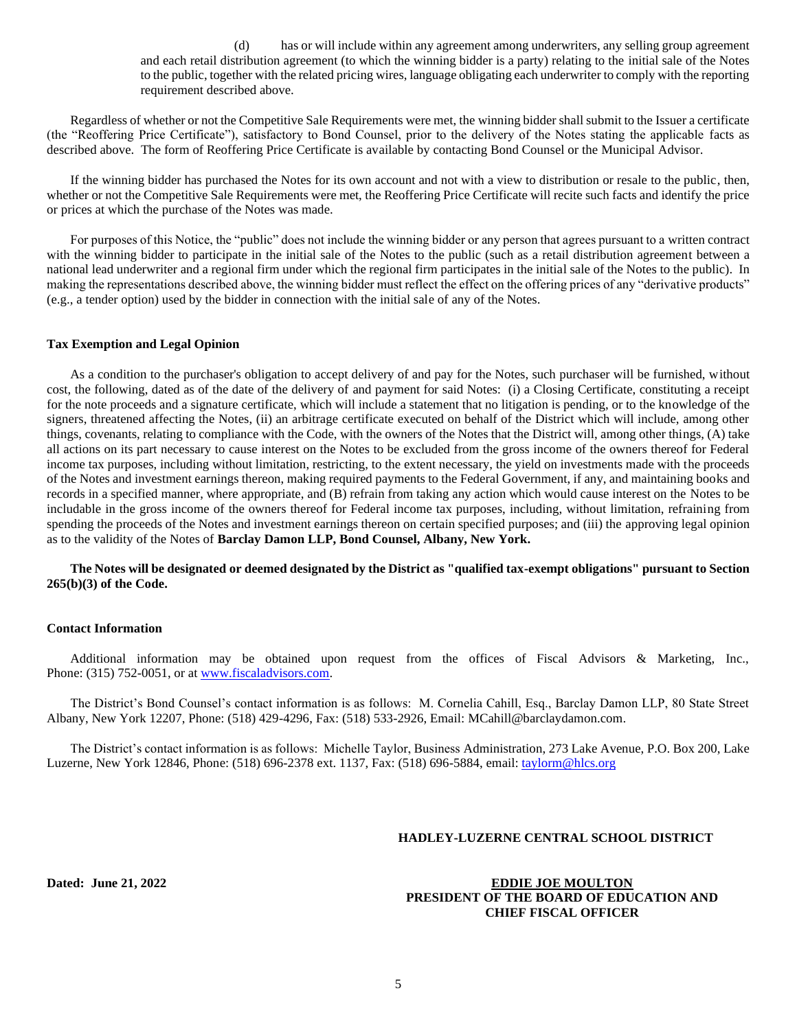(d) has or will include within any agreement among underwriters, any selling group agreement and each retail distribution agreement (to which the winning bidder is a party) relating to the initial sale of the Notes to the public, together with the related pricing wires, language obligating each underwriter to comply with the reporting requirement described above.

Regardless of whether or not the Competitive Sale Requirements were met, the winning bidder shall submit to the Issuer a certificate (the "Reoffering Price Certificate"), satisfactory to Bond Counsel, prior to the delivery of the Notes stating the applicable facts as described above. The form of Reoffering Price Certificate is available by contacting Bond Counsel or the Municipal Advisor.

If the winning bidder has purchased the Notes for its own account and not with a view to distribution or resale to the public, then, whether or not the Competitive Sale Requirements were met, the Reoffering Price Certificate will recite such facts and identify the price or prices at which the purchase of the Notes was made.

For purposes of this Notice, the "public" does not include the winning bidder or any person that agrees pursuant to a written contract with the winning bidder to participate in the initial sale of the Notes to the public (such as a retail distribution agreement between a national lead underwriter and a regional firm under which the regional firm participates in the initial sale of the Notes to the public). In making the representations described above, the winning bidder must reflect the effect on the offering prices of any "derivative products" (e.g., a tender option) used by the bidder in connection with the initial sale of any of the Notes.

#### **Tax Exemption and Legal Opinion**

As a condition to the purchaser's obligation to accept delivery of and pay for the Notes, such purchaser will be furnished, without cost, the following, dated as of the date of the delivery of and payment for said Notes: (i) a Closing Certificate, constituting a receipt for the note proceeds and a signature certificate, which will include a statement that no litigation is pending, or to the knowledge of the signers, threatened affecting the Notes, (ii) an arbitrage certificate executed on behalf of the District which will include, among other things, covenants, relating to compliance with the Code, with the owners of the Notes that the District will, among other things, (A) take all actions on its part necessary to cause interest on the Notes to be excluded from the gross income of the owners thereof for Federal income tax purposes, including without limitation, restricting, to the extent necessary, the yield on investments made with the proceeds of the Notes and investment earnings thereon, making required payments to the Federal Government, if any, and maintaining books and records in a specified manner, where appropriate, and (B) refrain from taking any action which would cause interest on the Notes to be includable in the gross income of the owners thereof for Federal income tax purposes, including, without limitation, refraining from spending the proceeds of the Notes and investment earnings thereon on certain specified purposes; and (iii) the approving legal opinion as to the validity of the Notes of **Barclay Damon LLP, Bond Counsel, Albany, New York.**

**The Notes will be designated or deemed designated by the District as "qualified tax-exempt obligations" pursuant to Section 265(b)(3) of the Code.**

## **Contact Information**

Additional information may be obtained upon request from the offices of Fiscal Advisors & Marketing, Inc., Phone: (315) 752-0051, or at [www.fiscaladvisors.com.](file://///app03/pub/Official%20Statements/Schools%20I-O/www.fiscaladvisors.com)

The District's Bond Counsel's contact information is as follows: M. Cornelia Cahill, Esq., Barclay Damon LLP, 80 State Street Albany, New York 12207, Phone: (518) 429-4296, Fax: (518) 533-2926, Email[: MCahill@barclaydamon.com.](mailto:MCahill@barclaydamon.com)

The District's contact information is as follows: Michelle Taylor, Business Administration, 273 Lake Avenue, P.O. Box 200, Lake Luzerne, New York 12846, Phone: (518) 696-2378 ext. 1137, Fax: (518) 696-5884, email: [taylorm@hlcs.org](mailto:taylorm@hlcs.org)

#### **HADLEY-LUZERNE CENTRAL SCHOOL DISTRICT**

**Dated: June 21, 2022 EDDIE JOE MOULTON PRESIDENT OF THE BOARD OF EDUCATION AND CHIEF FISCAL OFFICER**